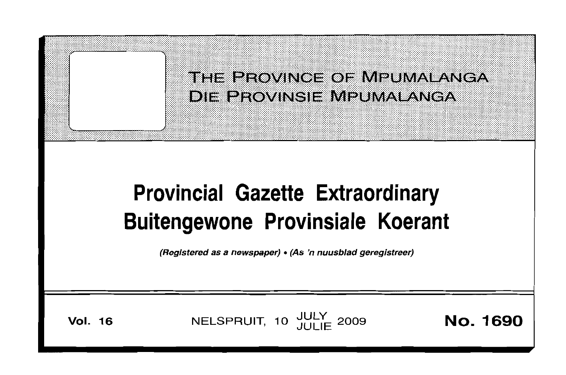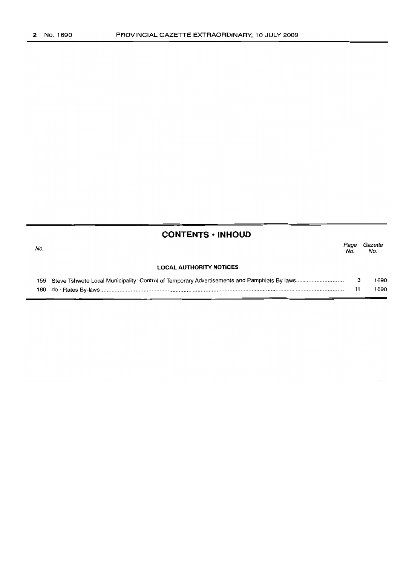| <b>CONTENTS • INHOUD</b> |                                |             |                |  |  |  |  |
|--------------------------|--------------------------------|-------------|----------------|--|--|--|--|
| No.                      |                                | Page<br>No. | Gazette<br>No. |  |  |  |  |
|                          | <b>LOCAL AUTHORITY NOTICES</b> |             |                |  |  |  |  |
| 159                      |                                | з           | 1690           |  |  |  |  |
| 160                      |                                | 11          | 1690           |  |  |  |  |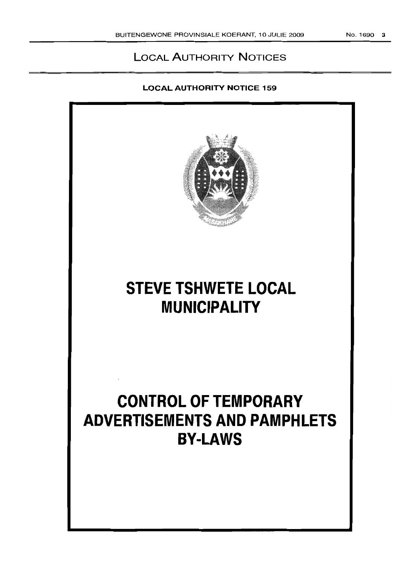# LOCAL AUTHORITY NOTICES

# LOCAL AUTHORITY NOTICE 159

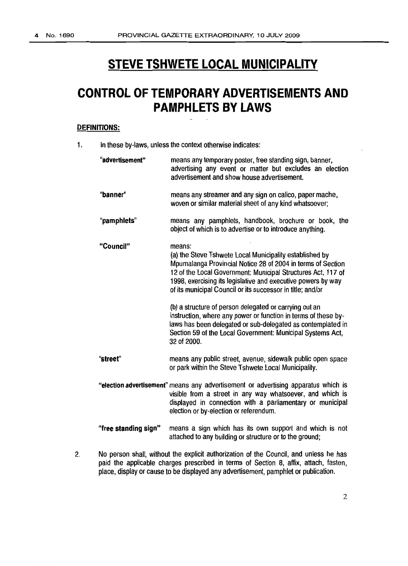# **STEVE TSHWETE LOCAL MUNICIPALITY**

# **CONTROL OF TEMPORARY ADVERTISEMENTS AND PAMPHLETS BY LAWS**

### **DEFINITIONS:**

1. In these by-laws, unless the context otherwise indicates:

| "advertisement"      | means any temporary poster, free standing sign, banner,<br>advertising any event or matter but excludes an election<br>advertisement and show house advertisement.                                                                                                                                                             |
|----------------------|--------------------------------------------------------------------------------------------------------------------------------------------------------------------------------------------------------------------------------------------------------------------------------------------------------------------------------|
| "banner"             | means any streamer and any sign on calico, paper mache,<br>woven or similar material sheet of any kind whatsoever;                                                                                                                                                                                                             |
| "pamphlets"          | means any pamphlets, handbook, brochure or book, the<br>object of which is to advertise or to introduce anything.                                                                                                                                                                                                              |
| "Council"            | means:<br>(a) the Steve Tshwete Local Municipality established by<br>Mpumalanga Provincial Notice 28 of 2004 in terms of Section<br>12 of the Local Government: Municipal Structures Act, 117 of<br>1998, exercising its legislative and executive powers by way<br>of its municipal Council or its successor in title; and/or |
|                      | (b) a structure of person delegated or carrying out an<br>instruction, where any power or function in terms of these by-<br>laws has been delegated or sub-delegated as contemplated in<br>Section 59 of the Local Government: Municipal Systems Act,<br>32 of 2000.                                                           |
| "street"             | means any public street, avenue, sidewalk public open space<br>or park within the Steve Tshwete Local Municipality.                                                                                                                                                                                                            |
|                      | "election advertisement" means any advertisement or advertising apparatus which is<br>visible from a street in any way whatsoever, and which is<br>displayed in connection with a parliamentary or municipal<br>election or by-election or referendum.                                                                         |
| "free standing sign" | means a sign which has its own support and which is not<br>attached to any building or structure or to the ground;                                                                                                                                                                                                             |

2. No person shall, without the explicit authorization of the Council, and unless he has paid the applicable charges prescribed in terms of Section 8, affix, attach, fasten, place, display or cause to be displayed any advertisement, pamphlet or publication.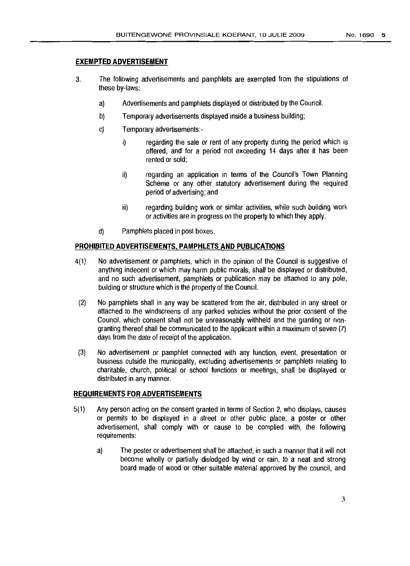### **EXEMPTED ADVERTISEMENT**

- 3. The following advertisements and pamphlets are exempted from the stipulations of these by-laws:
	- a) Advertisements and pamphlets displayed or distributed bythe Council.
	- b) Temporary advertisements displayed inside a business building;
	- c) Temporary advertisements:
		- i) regarding the sale or rent of any property during the period which is offered, and for a period not exceeding 14 days after it has been rented or sold;
		- ii) regarding an application in terms of the Council's Town Planning Scheme or any other statutory advertisement during the required period of advertising; and
		- iii) regarding building work or similar activities, while such building work or activities are in progress on the property to which they apply.
	- d) Pamphlets placed in post boxes.

### **PROHIBITED ADVERTISEMENTS, PAMPHLETS AND PUBLICATIONS**

- 4(1) No advertisement or pamphlets, which in the opinion of the Council is suggestive of anything indecent or which may harm public morals, shall be displayed or distributed, and no such advertisement, pamphlets or publication may be attached to any pole, building or structure which is the property of the Council.
- (2) No pamphlets shall in any way be scattered from the air, distributed in any street or attached to the windscreens of any parked vehicles without the prior consent of the Council, which consent shall not be unreasonably withheld and the granting or nongranting thereof shall be communicated to the applicant within a maximum of seven (7) days from the date of receipt of the application.
- (3) No advertisement or pamphlet connected with any function, event, presentation or business outside the municipality, excluding advertisements or pamphlets relating to charitable, church, political or school functions or meetings, shall be displayed or distributed in any manner.

#### **REQUIREMENTS FOR ADVERTISEMENTS**

- 5(1) Any person acting on the consent granted in terms of Section 2, who displays, causes or permits to be displayed in a street or other public place, a poster or other advertisement, shall comply with or cause to be complied with, the following requirements:
	- a) The poster or advertisement shall be attached, in such a manner that it will not become wholly or partially dislodged by wind or rain, to a neat and strong board made of wood or other suitable material approved by the council, and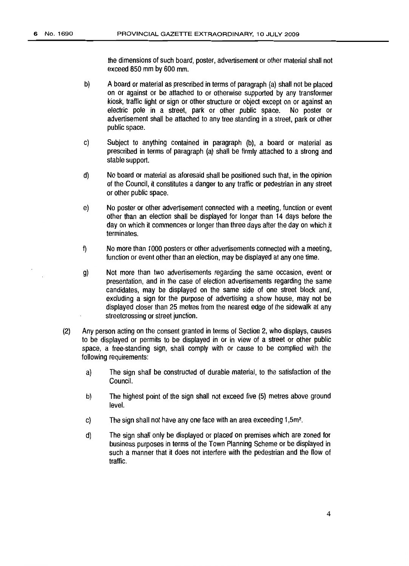the dimensions of such board, poster, advertisement or other material shall not exceed 850 mm by 600 mm.

- b) A board or material as prescribed in terms of paragraph (a) shall not be placed on or against or be attached to or otherwise supported by any transformer kiosk, traffic light or sign or other structure or object except on or against an electric pole in a street, park or other public space. No poster or advertisement shall be attached to any tree standing in a street, park or other public space.
- c) Subject to anything contained in paragraph (b), a board or material as prescribed in terms of paragraph (a) shall be firmly attached to a strong and stable support.
- d) Noboard or material as aforesaid shall be positioned such that, in the opinion of the Council, it constitutes a danger to any traffic or pedestrian in any street or other public space.
- e) No poster or other advertisement connected with a meeting, function or event other than an election shall be displayed for longer than 14 days before the day on which it commences or longer than three days after the day on which it terminates.
- f) No more than 1000 posters or other advertisements connected with a meeting, function or event other than an election, may be displayed at any one time.
- g) Not more than two advertisements regarding the same occasion, event or presentation, and in the case of election advertisements regarding the same candidates, may be displayed on the same side of one street block and, excluding a sign for the purpose of advertising a show house, may not be displayed closer than 25 metres from the nearest edge of the sidewalk at any streetcrossing or street junction.
- (2) Any person acting on the consent granted in terms of Section 2, who displays, causes to be displayed or permits to be displayed in or in view of a street or other public space, a free-standing sign, shall comply with or cause to be complied with the following requirements:
	- a) The sign shall be constructed of durable material, to the satisfaction of the Council.
	- b) The highest point of the sign shall not exceed five (5) metres above ground level.
	- c) The sign shall not have any one face with an area exceeding  $1,5m^2$ .
	- d) The sign shall only be displayed or placed on premises which are zoned for business purposes in terms of the Town Planning Scheme or be displayed in such a manner that it does not interfere with the pedestrian and the flow of traffic.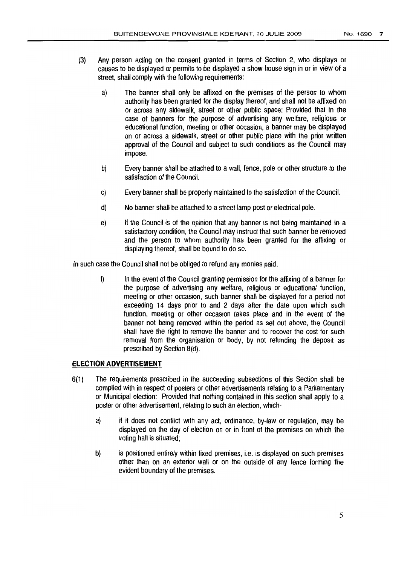- (3) Any person acting on the consent granted in terms of Section 2, who displays or causes to be displayed or permits to be displayed a show-house sign in or in view of a street, shall comply with the following requirements:
	- a) The banner shall only be affixed on the premises of the person to whom authority has been granted for the display thereof, and shall not be affixed on or across any sidewalk, street or other public space: Provided that in the case of banners for the purpose of advertising any welfare, religious or educational function, meeting or other occasion, a banner may be displayed on or across a sidewalk, street or other public place with the prior written approval of the Council and subject to such conditions as the Council may impose.
	- b) Every banner shall be attached to a wall, fence, pole or other structure to the satisfaction of the Council.
	- c) Every banner shall be properly maintained to the satisfaction of the Council.
	- d) No banner shall be attached to a street lamp post or electrical pole.
	- e) If the Council is of the opinion that any banner is not being maintained in a satisfactory condition, the Council may instruct that such banner be removed and the person to whom authority has been granted for the affixing or displaying thereof, shall be bound to do so.

In such case the Council shall not be obliged to refund any monies paid.

 $\mathfrak{h}$  In the event of the Council granting permission for the affixing of a banner for the purpose of advertising any welfare, religious or educational function, meeting or other occasion, such banner shall be displayed for a period not exceeding 14 days prior to and 2 days after the date upon which such function, meeting or other occasion takes place and in the event of the banner not being removed within the period as set out above, the Council shall have the right to remove the banner and to recover the cost for such removal from the organisation or body, by not refunding the deposit as prescribed by Section 8(d).

## **ELECTION ADVERTISEMENT**

- 6(1) The requirements prescribed in the succeeding subsections of this Section shall be complied with in respect of posters or other advertisements relating to a Parliamentary or Municipal election: Provided that nothing contained in this section shall apply to a poster or other advertisement, relating to such an election, which
	- a) if it does not conflict with any act, ordinance, by-law or regulation, may be displayed on the day of election on or in front of the premises on which the voting hall is situated;
	- b) is positioned entirely within fixed premises, i.e. is displayed on such premises other than on an exterior wall or on the outside of any fence forming the evident boundary of the premises.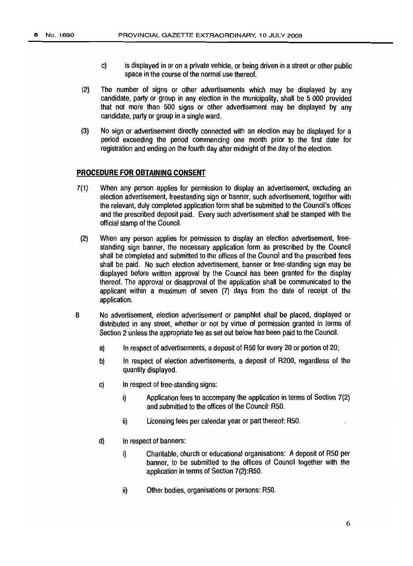- c) is displayed in or on a private vehicle, or being driven in a street or other public space in the course of the normal use thereof.
- (2) The number of signs or other advertisements which may be displayed by any candidate, party or group in any election in the municipality, shall be 5 000 provided that not more than 500 signs or other advertisement may be displayed by any candidate, party or group in a single ward.
- (3) No sign or advertisement directly connected with an election may be displayed for a period exceeding the period commencing one month prior to the first date for registration and ending on the fourth day after midnight of the day of the election.

#### **PROCEDURE FOR OBTAINING CONSENT**

- 7(1) When any person applies for permission to display an advertisement, excluding an election advertisement, freestanding sign orbanner, such advertisement, together with the relevant, duly completed application form shall besubmitted tothe Council's offices and the prescribed deposit paid. Every such advertisement shall be stamped with the official stamp of the Council.
	- (2) When any person applies for permission to display an election advertisement, freestanding sign banner, the necessary application form as prescribed by the Council shall be completed and submitted to the offices of the Council and the prescribed fees shall be paid. No such election advertisement, banner or free-standing sign may be displayed before written approval by the Council has been granted for the display thereof. The approval or disapproval of the application shall be communicated to the applicant within a maximum of seven (7) days from the date of receipt of the application.
- 6 No advertisement, election advertisement or pamphlet shall be placed, displayed or distributed in any street, whether or not by virtue of permission granted in terms of Section 2 unless the appropriate fee as set out below has been paid to the Council.
	- a) In respect of advertisements, a deposit of R50 for every 20 or portion of 20;
	- b) In respect of election advertisements, a deposit of R200, regardless of the quantity displayed.
	- c) In respect of free-standing signs:
		- i) Application fees to accompany the application interms of Section 7(2) and submitted to the offices of the Council: R50.
		- $ii)$  Licensing fees per calendar year or part thereof: R50.
	- d) Inrespect of banners:
		- i) Charitable, church or educational organisations: A deposit of R50 per banner, to be submitted to the offices of Council together with the application in terms of Section 7(2):R50.
		- ii) Other bodies, organisations or persons: R50.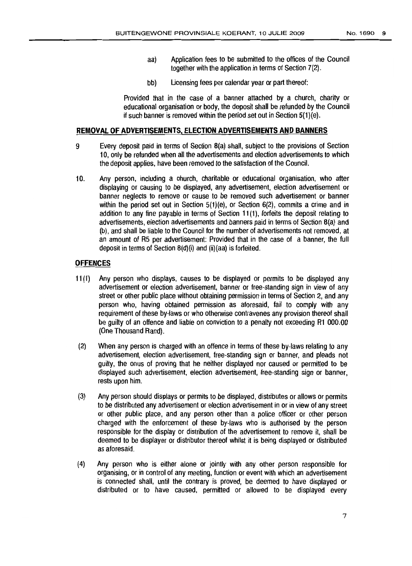- aa) Application fees to be submitted to the offices of the Council together with the application in terms of Section  $7(2)$ .
- bb) Licensing fees per calendar year or part thereof:

Provided that in the case of a banner attached by a church, charity or educational organisation or body, the deposit shall be refunded by the Council if such banner is removed within the period set out in Section  $5(1)(e)$ .

#### **REMOVAL OF ADVERTISEMENTS. ELECTION ADVERTISEMENTS AND BANNERS**

- 9 Every deposit paid in terms of Section 8(a) shall, subject to the provisions of Section 10, only be refunded when all the advertisements and election advertisements to which the deposit applies, have been removed to the satisfaction of the Council.
- 10. Any person, including a church, charitable or educational organisation, who after displaying or causing to be displayed, any advertisement, election advertisement or banner neglects to remove or cause to be removed such advertisement or banner within the period set out in Section 5(1)(e), or Section 6(2), commits a crime and in addition to any fine payable in terms of Section 11 (1), forfeits the deposit relating to advertisements, election advertisements and banners paid interms of Section 8(a) and (b), and shall be liable tothe Council for the number of advertisements not removed, at an amount of R5 per advertisement: Provided that in the case of a banner, the full deposit in terms of Section  $B(d)(i)$  and  $(ii)(aa)$  is forfeited.

#### **OFFENCES**

- 11 (1) Any person who displays, causes to be displayed or permits to be displayed any advertisement or election advertisement, banner or free-standing sign in view of any street or other public place without obtaining permission in terms of Section 2, and any person who, having obtained permission as aforesaid, fail to comply with any requirement of these by-laws or who otherwise contravenes any provision thereof shall be guilty of an offence and liable on conviction to a penalty not exceeding R1 000.00 (One Thousand Rand).
- (2) When any person is charged with an offence in terms of these by-laws relating to any advertisement, election advertisement, free-standing sign or banner, and pleads not guilty, the onus of proving that he neither displayed nor caused or permitted to be displayed such advertisement, election advertisement, free-standing sign or banner, rests upon him.
- (3) Any person should displays or permits to be displayed, distributes or allows or permits to be distributed any advertisement or election advertisement in or in view of any street or other public place, and any person other than a police officer or other person charged with the enforcement of these by-laws who is authorised by the person responsible for the display or distribution of the advertisement to remove it, shall be deemed to be displayer or distributor thereof whilst it is being displayed or distributed asaforesaid.
- (4) Any person who is either alone or jointly with any other person responsible for organising, or in control of any meeting, function or event with which an advertisement is connected shalf, until the contrary is proved, be deemed to have displayed or distributed or to have caused, permitted or allowed to be displayed every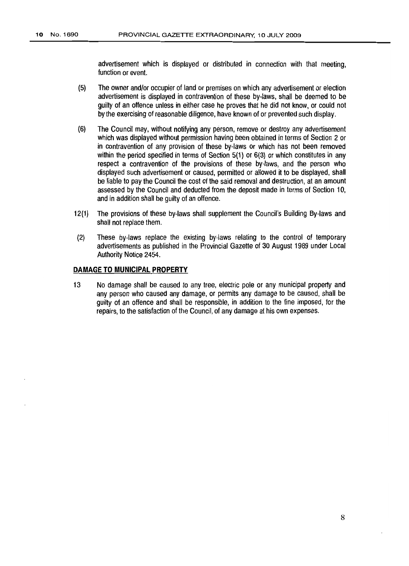advertisement which is displayed or distributed in connection with that meeting, function or event.

- (5) The owner and/or occupier of land or premises on which any advertisement orelection advertisement is displayed in contravention of these by-laws, shall be deemed to be guilty of an offence unless in either case he proves that he did not know, or could not by the exercising of reasonable diligence, have known of or prevented such display.
- (6) The Council may, without notifying any person, remove or destroy any advertisement which was displayed without permission having been obtained interms of Section 2 or in contravention of any provision of these by-laws or which has not been removed within the period specified in terms of Section  $5(1)$  or  $6(3)$  or which constitutes in any respect a contravention of the provisions of these by-laws, and the person who displayed such advertisement or caused, permitted or allowed it to be displayed, shall be liable to pay the Council the cost of the said removal and destruction, at an amount assessed bythe Council and deducted from the deposit made in terms of Section 10, and in addition shall be guilty of an offence.
- 12(1) The provisions of these by-laws shall supplement the Council's Building By-laws and shall not rep/ace them.
- (2) These by-laws replace the existing by-laws relating to the control of temporary advertisements as published in the Provincial Gazette of 30 August 1989 under Local Authority Notice 2454.

#### **DAMAGE TO MUNICIPAL PROPERTY**

13 No damage shall be caused to any tree, electric pole or any municipal property and any person who caused any damage, or permits any damage to be caused, shall be guilty of an offence and shall be responsible, in addition to the fine imposed, for the repairs, to the satisfaction of the Council, of any damage at his own expenses.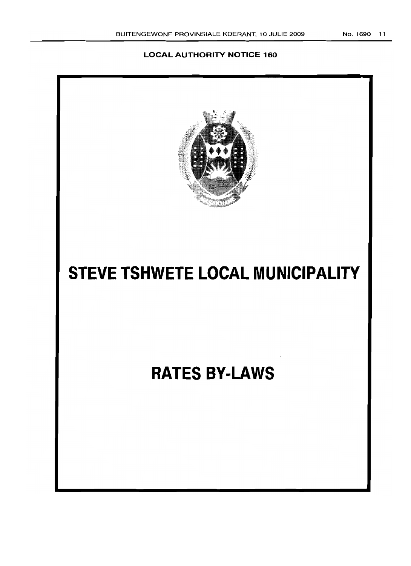# **LOCAL AUTHORITY NOTICE 160**

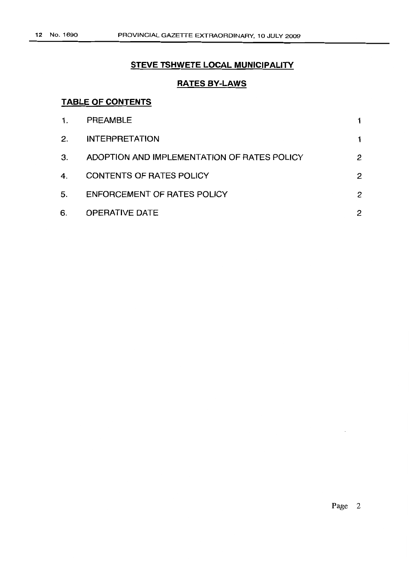# **STEVE TSHWETE LOCAL MUNICIPALITY**

# **RATES BY-LAWS**

# **TABLE OF CONTENTS**

| $\mathbf{1}$ . | <b>PREAMBLE</b>                             |   |
|----------------|---------------------------------------------|---|
| 2.             | <b>INTERPRETATION</b>                       |   |
| 3.             | ADOPTION AND IMPLEMENTATION OF RATES POLICY | 2 |
| 4.             | <b>CONTENTS OF RATES POLICY</b>             | 2 |
| 5.             | <b>ENFORCEMENT OF RATES POLICY</b>          | 2 |
| 6.             | <b>OPERATIVE DATE</b>                       | 2 |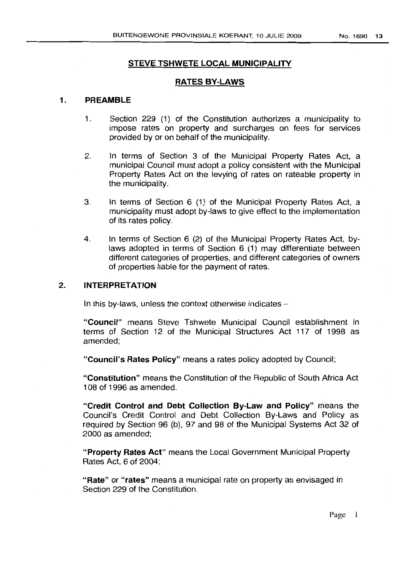# STEVE TSHWETE LOCAL MUNICIPALITY

## RATES BY-LAWS

## 1. PREAMBLE

- 1. Section 229 (1) of the Constitution authorizes a municipality to impose rates on property and surcharges on fees for services provided by or on behalf of the municipality.
- 2. In terms of Section 3 of the Municipal Property Rates Act, a municipal Council must adopt a policy consistent with the Municipal Property Rates Act on the levying of rates on rateable property in the municipality.
- 3. In terms of Section 6 (1) of the Municipal Property Rates Act, a municipality must adopt by-laws to give effect to the implementation of its rates policy.
- 4. In terms of Section 6 (2) of the Municipal Property Rates Act, bylaws adopted in terms of Section 6 (1) may differentiate between different categories of properties, and different categories of owners of properties liable for the payment of rates.

## 2. INTERPRETATION

In this by-laws, unless the context otherwise indicates  $-$ 

"Council" means Steve Tshwete Municipal Council establishment in terms of Section 12 of the Municipal Structures Act 117 of 1998 as amended;

"Council's Rates Policy" means a rates policy adopted by Council;

"Constitution" means the Constitution of the Republic of South Africa Act 108 of 1996 as amended.

"Credit Control and Debt Collection By-Law and Policy" means the Council's Credit Control and Debt Collection By-Laws and Policy as required by Section 96 (b), 97 and 98 of the Municipal Systems Act 32 of 2000 as amended;

"Property Rates Act" means the Local Government Municipal Property Rates Act, 6 of 2004;

"Rate" or "rates" means a municipal rate on property as envisaged in Section 229 of the Constitution.